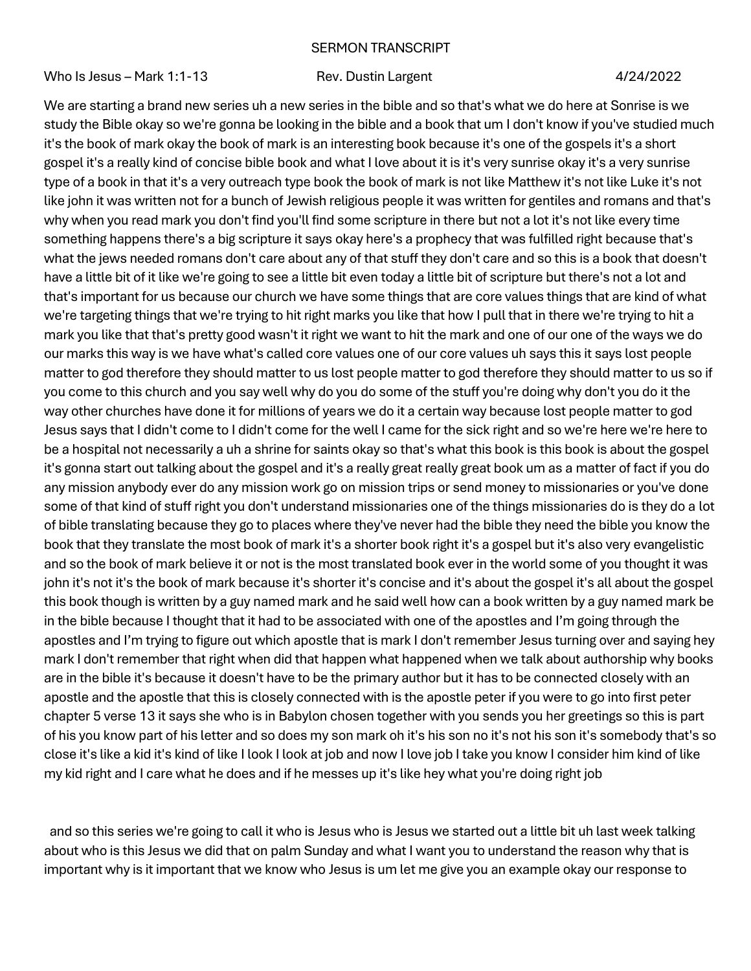## SERMON TRANSCRIPT

Who Is Jesus – Mark 1:1-13 Rev. Dustin Largent 4/24/2022

We are starting a brand new series uh a new series in the bible and so that's what we do here at Sonrise is we study the Bible okay so we're gonna be looking in the bible and a book that um I don't know if you've studied much it's the book of mark okay the book of mark is an interesting book because it's one of the gospels it's a short gospel it's a really kind of concise bible book and what I love about it is it's very sunrise okay it's a very sunrise type of a book in that it's a very outreach type book the book of mark is not like Matthew it's not like Luke it's not like john it was written not for a bunch of Jewish religious people it was written for gentiles and romans and that's why when you read mark you don't find you'll find some scripture in there but not a lot it's not like every time something happens there's a big scripture it says okay here's a prophecy that was fulfilled right because that's what the jews needed romans don't care about any of that stuff they don't care and so this is a book that doesn't have a little bit of it like we're going to see a little bit even today a little bit of scripture but there's not a lot and that's important for us because our church we have some things that are core values things that are kind of what we're targeting things that we're trying to hit right marks you like that how I pull that in there we're trying to hit a mark you like that that's pretty good wasn't it right we want to hit the mark and one of our one of the ways we do our marks this way is we have what's called core values one of our core values uh says this it says lost people matter to god therefore they should matter to us lost people matter to god therefore they should matter to us so if you come to this church and you say well why do you do some of the stuff you're doing why don't you do it the way other churches have done it for millions of years we do it a certain way because lost people matter to god Jesus says that I didn't come to I didn't come for the well I came for the sick right and so we're here we're here to be a hospital not necessarily a uh a shrine for saints okay so that's what this book is this book is about the gospel it's gonna start out talking about the gospel and it's a really great really great book um as a matter of fact if you do any mission anybody ever do any mission work go on mission trips or send money to missionaries or you've done some of that kind of stuff right you don't understand missionaries one of the things missionaries do is they do a lot of bible translating because they go to places where they've never had the bible they need the bible you know the book that they translate the most book of mark it's a shorter book right it's a gospel but it's also very evangelistic and so the book of mark believe it or not is the most translated book ever in the world some of you thought it was john it's not it's the book of mark because it's shorter it's concise and it's about the gospel it's all about the gospel this book though is written by a guy named mark and he said well how can a book written by a guy named mark be in the bible because I thought that it had to be associated with one of the apostles and I'm going through the apostles and I'm trying to figure out which apostle that is mark I don't remember Jesus turning over and saying hey mark I don't remember that right when did that happen what happened when we talk about authorship why books are in the bible it's because it doesn't have to be the primary author but it has to be connected closely with an apostle and the apostle that this is closely connected with is the apostle peter if you were to go into first peter chapter 5 verse 13 it says she who is in Babylon chosen together with you sends you her greetings so this is part of his you know part of his letter and so does my son mark oh it's his son no it's not his son it's somebody that's so close it's like a kid it's kind of like I look I look at job and now I love job I take you know I consider him kind of like my kid right and I care what he does and if he messes up it's like hey what you're doing right job

and so this series we're going to call it who is Jesus who is Jesus we started out a little bit uh last week talking about who is this Jesus we did that on palm Sunday and what I want you to understand the reason why that is important why is it important that we know who Jesus is um let me give you an example okay our response to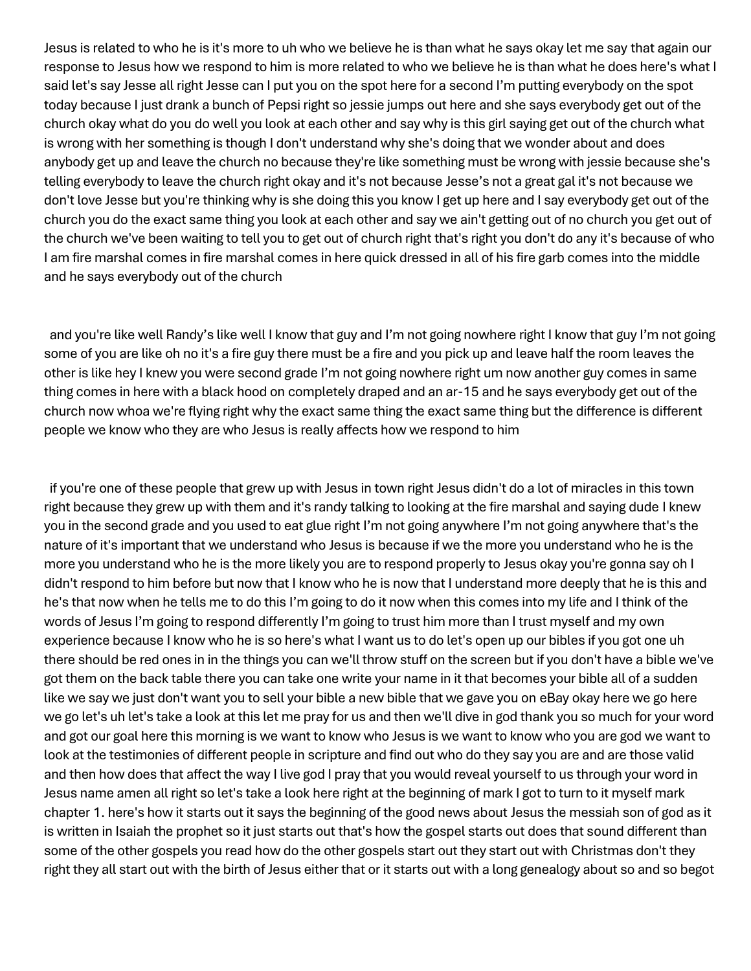Jesus is related to who he is it's more to uh who we believe he is than what he says okay let me say that again our response to Jesus how we respond to him is more related to who we believe he is than what he does here's what I said let's say Jesse all right Jesse can I put you on the spot here for a second I'm putting everybody on the spot today because I just drank a bunch of Pepsi right so jessie jumps out here and she says everybody get out of the church okay what do you do well you look at each other and say why is this girl saying get out of the church what is wrong with her something is though I don't understand why she's doing that we wonder about and does anybody get up and leave the church no because they're like something must be wrong with jessie because she's telling everybody to leave the church right okay and it's not because Jesse's not a great gal it's not because we don't love Jesse but you're thinking why is she doing this you know I get up here and I say everybody get out of the church you do the exact same thing you look at each other and say we ain't getting out of no church you get out of the church we've been waiting to tell you to get out of church right that's right you don't do any it's because of who I am fire marshal comes in fire marshal comes in here quick dressed in all of his fire garb comes into the middle and he says everybody out of the church

and you're like well Randy's like well I know that guy and I'm not going nowhere right I know that guy I'm not going some of you are like oh no it's a fire guy there must be a fire and you pick up and leave half the room leaves the other is like hey I knew you were second grade I'm not going nowhere right um now another guy comes in same thing comes in here with a black hood on completely draped and an ar-15 and he says everybody get out of the church now whoa we're flying right why the exact same thing the exact same thing but the difference is different people we know who they are who Jesus is really affects how we respond to him

if you're one of these people that grew up with Jesus in town right Jesus didn't do a lot of miracles in this town right because they grew up with them and it's randy talking to looking at the fire marshal and saying dude I knew you in the second grade and you used to eat glue right I'm not going anywhere I'm not going anywhere that's the nature of it's important that we understand who Jesus is because if we the more you understand who he is the more you understand who he is the more likely you are to respond properly to Jesus okay you're gonna say oh I didn't respond to him before but now that I know who he is now that I understand more deeply that he is this and he's that now when he tells me to do this I'm going to do it now when this comes into my life and I think of the words of Jesus I'm going to respond differently I'm going to trust him more than I trust myself and my own experience because I know who he is so here's what I want us to do let's open up our bibles if you got one uh there should be red ones in in the things you can we'll throw stuff on the screen but if you don't have a bible we've got them on the back table there you can take one write your name in it that becomes your bible all of a sudden like we say we just don't want you to sell your bible a new bible that we gave you on eBay okay here we go here we go let's uh let's take a look at this let me pray for us and then we'll dive in god thank you so much for your word and got our goal here this morning is we want to know who Jesus is we want to know who you are god we want to look at the testimonies of different people in scripture and find out who do they say you are and are those valid and then how does that affect the way I live god I pray that you would reveal yourself to us through your word in Jesus name amen all right so let's take a look here right at the beginning of mark I got to turn to it myself mark chapter 1. here's how it starts out it says the beginning of the good news about Jesus the messiah son of god as it is written in Isaiah the prophet so it just starts out that's how the gospel starts out does that sound different than some of the other gospels you read how do the other gospels start out they start out with Christmas don't they right they all start out with the birth of Jesus either that or it starts out with a long genealogy about so and so begot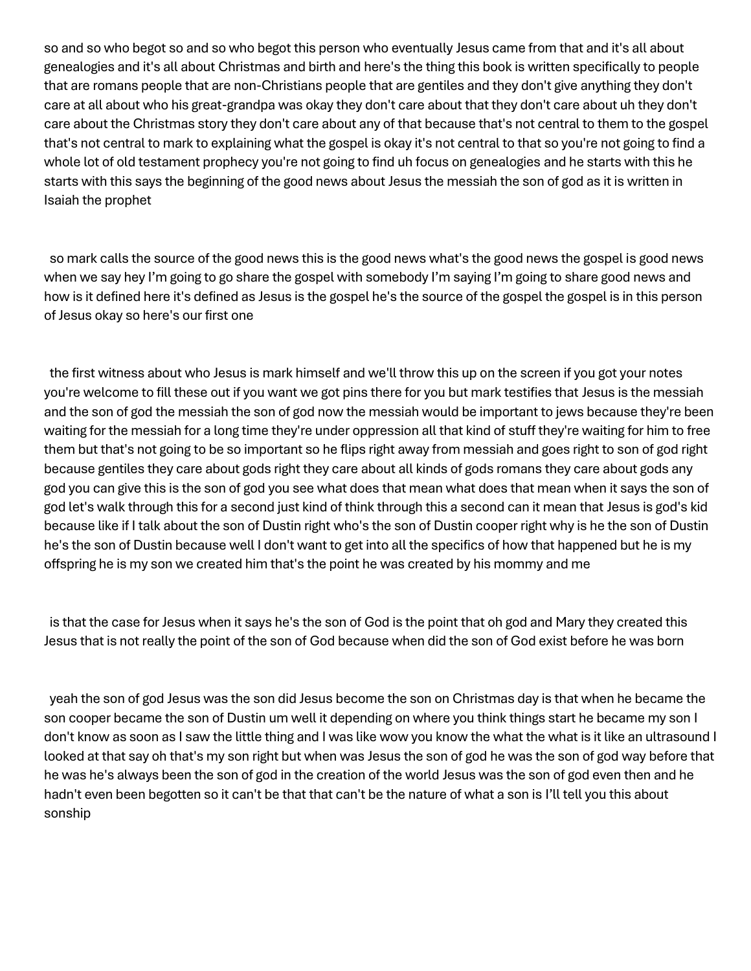so and so who begot so and so who begot this person who eventually Jesus came from that and it's all about genealogies and it's all about Christmas and birth and here's the thing this book is written specifically to people that are romans people that are non-Christians people that are gentiles and they don't give anything they don't care at all about who his great-grandpa was okay they don't care about that they don't care about uh they don't care about the Christmas story they don't care about any of that because that's not central to them to the gospel that's not central to mark to explaining what the gospel is okay it's not central to that so you're not going to find a whole lot of old testament prophecy you're not going to find uh focus on genealogies and he starts with this he starts with this says the beginning of the good news about Jesus the messiah the son of god as it is written in Isaiah the prophet

so mark calls the source of the good news this is the good news what's the good news the gospel is good news when we say hey I'm going to go share the gospel with somebody I'm saying I'm going to share good news and how is it defined here it's defined as Jesus is the gospel he's the source of the gospel the gospel is in this person of Jesus okay so here's our first one

the first witness about who Jesus is mark himself and we'll throw this up on the screen if you got your notes you're welcome to fill these out if you want we got pins there for you but mark testifies that Jesus is the messiah and the son of god the messiah the son of god now the messiah would be important to jews because they're been waiting for the messiah for a long time they're under oppression all that kind of stuff they're waiting for him to free them but that's not going to be so important so he flips right away from messiah and goes right to son of god right because gentiles they care about gods right they care about all kinds of gods romans they care about gods any god you can give this is the son of god you see what does that mean what does that mean when it says the son of god let's walk through this for a second just kind of think through this a second can it mean that Jesus is god's kid because like if I talk about the son of Dustin right who's the son of Dustin cooper right why is he the son of Dustin he's the son of Dustin because well I don't want to get into all the specifics of how that happened but he is my offspring he is my son we created him that's the point he was created by his mommy and me

is that the case for Jesus when it says he's the son of God is the point that oh god and Mary they created this Jesus that is not really the point of the son of God because when did the son of God exist before he was born

yeah the son of god Jesus was the son did Jesus become the son on Christmas day is that when he became the son cooper became the son of Dustin um well it depending on where you think things start he became my son I don't know as soon as I saw the little thing and I was like wow you know the what the what is it like an ultrasound I looked at that say oh that's my son right but when was Jesus the son of god he was the son of god way before that he was he's always been the son of god in the creation of the world Jesus was the son of god even then and he hadn't even been begotten so it can't be that that can't be the nature of what a son is I'll tell you this about sonship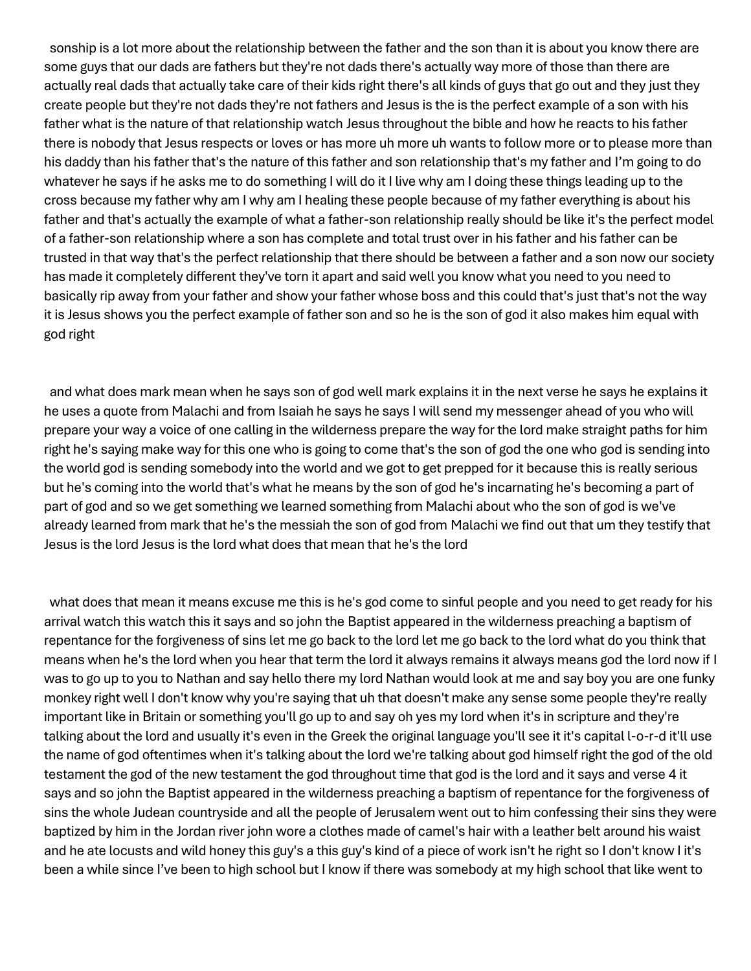sonship is a lot more about the relationship between the father and the son than it is about you know there are some guys that our dads are fathers but they're not dads there's actually way more of those than there are actually real dads that actually take care of their kids right there's all kinds of guys that go out and they just they create people but they're not dads they're not fathers and Jesus is the is the perfect example of a son with his father what is the nature of that relationship watch Jesus throughout the bible and how he reacts to his father there is nobody that Jesus respects or loves or has more uh more uh wants to follow more or to please more than his daddy than his father that's the nature of this father and son relationship that's my father and I'm going to do whatever he says if he asks me to do something I will do it I live why am I doing these things leading up to the cross because my father why am I why am I healing these people because of my father everything is about his father and that's actually the example of what a father-son relationship really should be like it's the perfect model of a father-son relationship where a son has complete and total trust over in his father and his father can be trusted in that way that's the perfect relationship that there should be between a father and a son now our society has made it completely different they've torn it apart and said well you know what you need to you need to basically rip away from your father and show your father whose boss and this could that's just that's not the way it is Jesus shows you the perfect example of father son and so he is the son of god it also makes him equal with god right

and what does mark mean when he says son of god well mark explains it in the next verse he says he explains it he uses a quote from Malachi and from Isaiah he says he says I will send my messenger ahead of you who will prepare your way a voice of one calling in the wilderness prepare the way for the lord make straight paths for him right he's saying make way for this one who is going to come that's the son of god the one who god is sending into the world god is sending somebody into the world and we got to get prepped for it because this is really serious but he's coming into the world that's what he means by the son of god he's incarnating he's becoming a part of part of god and so we get something we learned something from Malachi about who the son of god is we've already learned from mark that he's the messiah the son of god from Malachi we find out that um they testify that Jesus is the lord Jesus is the lord what does that mean that he's the lord

what does that mean it means excuse me this is he's god come to sinful people and you need to get ready for his arrival watch this watch this it says and so john the Baptist appeared in the wilderness preaching a baptism of repentance for the forgiveness of sins let me go back to the lord let me go back to the lord what do you think that means when he's the lord when you hear that term the lord it always remains it always means god the lord now if I was to go up to you to Nathan and say hello there my lord Nathan would look at me and say boy you are one funky monkey right well I don't know why you're saying that uh that doesn't make any sense some people they're really important like in Britain or something you'll go up to and say oh yes my lord when it's in scripture and they're talking about the lord and usually it's even in the Greek the original language you'll see it it's capital l-o-r-d it'll use the name of god oftentimes when it's talking about the lord we're talking about god himself right the god of the old testament the god of the new testament the god throughout time that god is the lord and it says and verse 4 it says and so john the Baptist appeared in the wilderness preaching a baptism of repentance for the forgiveness of sins the whole Judean countryside and all the people of Jerusalem went out to him confessing their sins they were baptized by him in the Jordan river john wore a clothes made of camel's hair with a leather belt around his waist and he ate locusts and wild honey this guy's a this guy's kind of a piece of work isn't he right so I don't know I it's been a while since I've been to high school but I know if there was somebody at my high school that like went to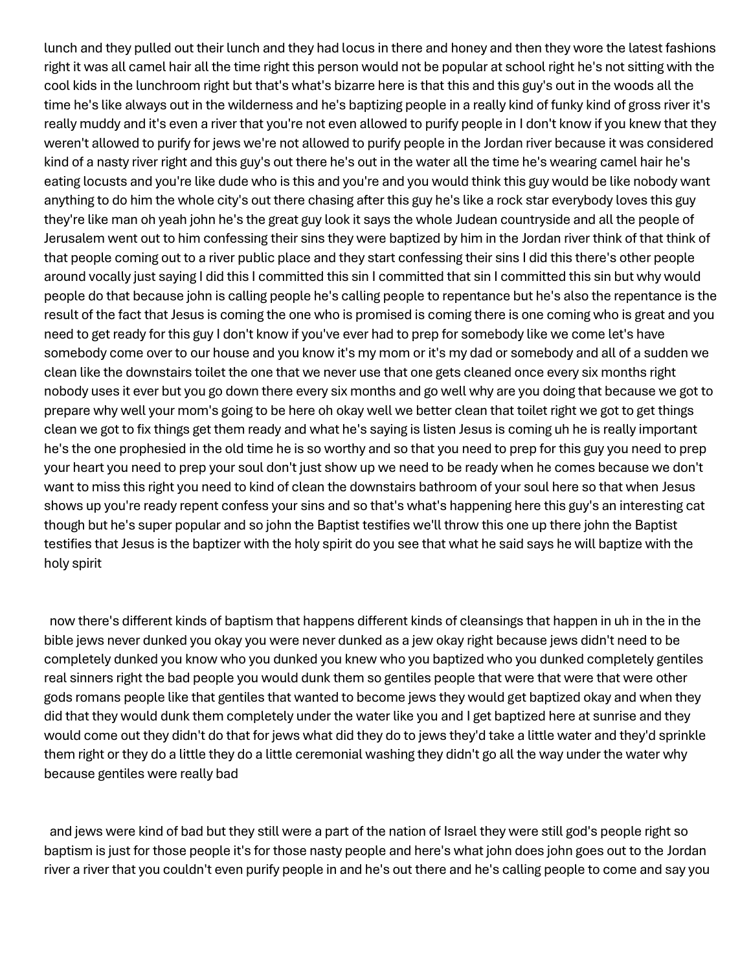lunch and they pulled out their lunch and they had locus in there and honey and then they wore the latest fashions right it was all camel hair all the time right this person would not be popular at school right he's not sitting with the cool kids in the lunchroom right but that's what's bizarre here is that this and this guy's out in the woods all the time he's like always out in the wilderness and he's baptizing people in a really kind of funky kind of gross river it's really muddy and it's even a river that you're not even allowed to purify people in I don't know if you knew that they weren't allowed to purify for jews we're not allowed to purify people in the Jordan river because it was considered kind of a nasty river right and this guy's out there he's out in the water all the time he's wearing camel hair he's eating locusts and you're like dude who is this and you're and you would think this guy would be like nobody want anything to do him the whole city's out there chasing after this guy he's like a rock star everybody loves this guy they're like man oh yeah john he's the great guy look it says the whole Judean countryside and all the people of Jerusalem went out to him confessing their sins they were baptized by him in the Jordan river think of that think of that people coming out to a river public place and they start confessing their sins I did this there's other people around vocally just saying I did this I committed this sin I committed that sin I committed this sin but why would people do that because john is calling people he's calling people to repentance but he's also the repentance is the result of the fact that Jesus is coming the one who is promised is coming there is one coming who is great and you need to get ready for this guy I don't know if you've ever had to prep for somebody like we come let's have somebody come over to our house and you know it's my mom or it's my dad or somebody and all of a sudden we clean like the downstairs toilet the one that we never use that one gets cleaned once every six months right nobody uses it ever but you go down there every six months and go well why are you doing that because we got to prepare why well your mom's going to be here oh okay well we better clean that toilet right we got to get things clean we got to fix things get them ready and what he's saying is listen Jesus is coming uh he is really important he's the one prophesied in the old time he is so worthy and so that you need to prep for this guy you need to prep your heart you need to prep your soul don't just show up we need to be ready when he comes because we don't want to miss this right you need to kind of clean the downstairs bathroom of your soul here so that when Jesus shows up you're ready repent confess your sins and so that's what's happening here this guy's an interesting cat though but he's super popular and so john the Baptist testifies we'll throw this one up there john the Baptist testifies that Jesus is the baptizer with the holy spirit do you see that what he said says he will baptize with the holy spirit

now there's different kinds of baptism that happens different kinds of cleansings that happen in uh in the in the bible jews never dunked you okay you were never dunked as a jew okay right because jews didn't need to be completely dunked you know who you dunked you knew who you baptized who you dunked completely gentiles real sinners right the bad people you would dunk them so gentiles people that were that were that were other gods romans people like that gentiles that wanted to become jews they would get baptized okay and when they did that they would dunk them completely under the water like you and I get baptized here at sunrise and they would come out they didn't do that for jews what did they do to jews they'd take a little water and they'd sprinkle them right or they do a little they do a little ceremonial washing they didn't go all the way under the water why because gentiles were really bad

and jews were kind of bad but they still were a part of the nation of Israel they were still god's people right so baptism is just for those people it's for those nasty people and here's what john does john goes out to the Jordan river a river that you couldn't even purify people in and he's out there and he's calling people to come and say you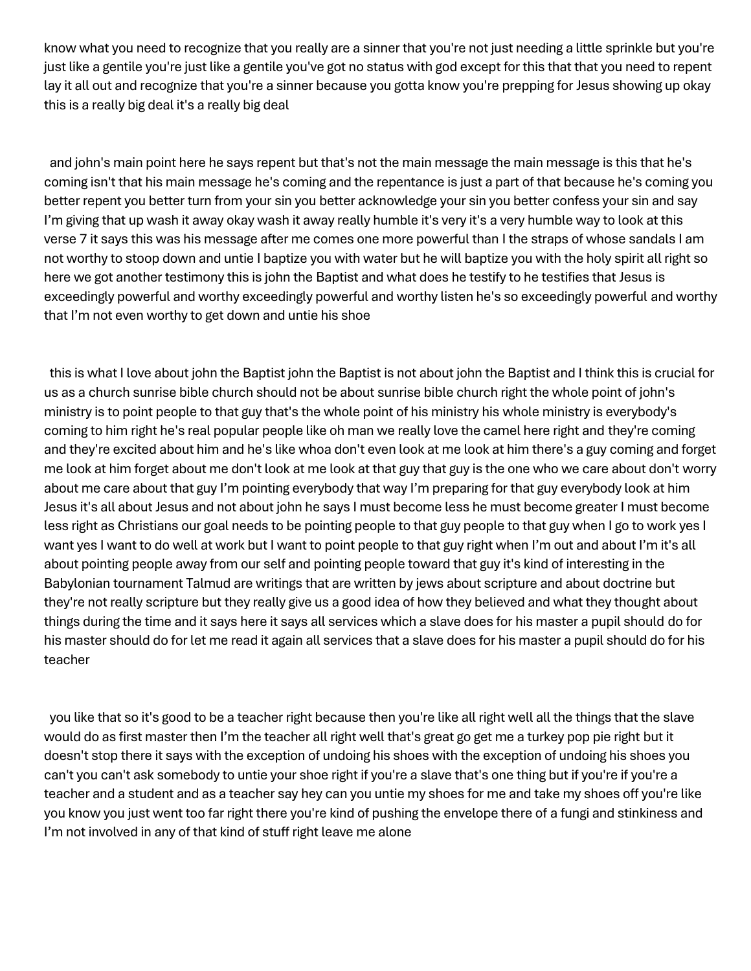know what you need to recognize that you really are a sinner that you're not just needing a little sprinkle but you're just like a gentile you're just like a gentile you've got no status with god except for this that that you need to repent lay it all out and recognize that you're a sinner because you gotta know you're prepping for Jesus showing up okay this is a really big deal it's a really big deal

and john's main point here he says repent but that's not the main message the main message is this that he's coming isn't that his main message he's coming and the repentance is just a part of that because he's coming you better repent you better turn from your sin you better acknowledge your sin you better confess your sin and say I'm giving that up wash it away okay wash it away really humble it's very it's a very humble way to look at this verse 7 it says this was his message after me comes one more powerful than I the straps of whose sandals I am not worthy to stoop down and untie I baptize you with water but he will baptize you with the holy spirit all right so here we got another testimony this is john the Baptist and what does he testify to he testifies that Jesus is exceedingly powerful and worthy exceedingly powerful and worthy listen he's so exceedingly powerful and worthy that I'm not even worthy to get down and untie his shoe

this is what I love about john the Baptist john the Baptist is not about john the Baptist and I think this is crucial for us as a church sunrise bible church should not be about sunrise bible church right the whole point of john's ministry is to point people to that guy that's the whole point of his ministry his whole ministry is everybody's coming to him right he's real popular people like oh man we really love the camel here right and they're coming and they're excited about him and he's like whoa don't even look at me look at him there's a guy coming and forget me look at him forget about me don't look at me look at that guy that guy is the one who we care about don't worry about me care about that guy I'm pointing everybody that way I'm preparing for that guy everybody look at him Jesus it's all about Jesus and not about john he says I must become less he must become greater I must become less right as Christians our goal needs to be pointing people to that guy people to that guy when I go to work yes I want yes I want to do well at work but I want to point people to that guy right when I'm out and about I'm it's all about pointing people away from our self and pointing people toward that guy it's kind of interesting in the Babylonian tournament Talmud are writings that are written by jews about scripture and about doctrine but they're not really scripture but they really give us a good idea of how they believed and what they thought about things during the time and it says here it says all services which a slave does for his master a pupil should do for his master should do for let me read it again all services that a slave does for his master a pupil should do for his teacher

you like that so it's good to be a teacher right because then you're like all right well all the things that the slave would do as first master then I'm the teacher all right well that's great go get me a turkey pop pie right but it doesn't stop there it says with the exception of undoing his shoes with the exception of undoing his shoes you can't you can't ask somebody to untie your shoe right if you're a slave that's one thing but if you're if you're a teacher and a student and as a teacher say hey can you untie my shoes for me and take my shoes off you're like you know you just went too far right there you're kind of pushing the envelope there of a fungi and stinkiness and I'm not involved in any of that kind of stuff right leave me alone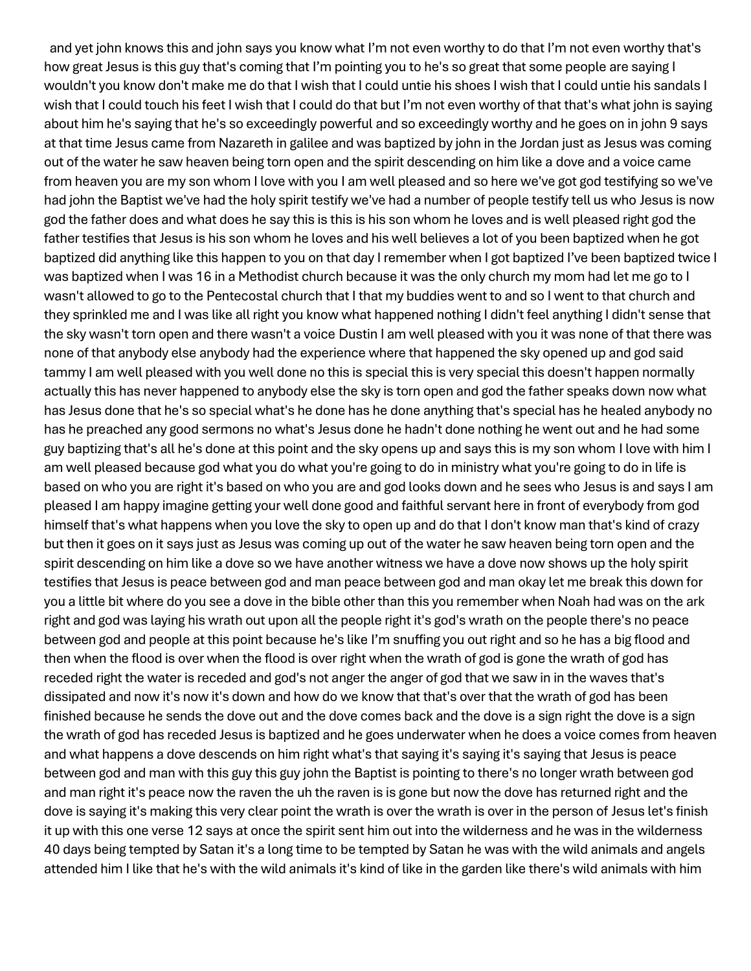and yet john knows this and john says you know what I'm not even worthy to do that I'm not even worthy that's how great Jesus is this guy that's coming that I'm pointing you to he's so great that some people are saying I wouldn't you know don't make me do that I wish that I could untie his shoes I wish that I could untie his sandals I wish that I could touch his feet I wish that I could do that but I'm not even worthy of that that's what john is saying about him he's saying that he's so exceedingly powerful and so exceedingly worthy and he goes on in john 9 says at that time Jesus came from Nazareth in galilee and was baptized by john in the Jordan just as Jesus was coming out of the water he saw heaven being torn open and the spirit descending on him like a dove and a voice came from heaven you are my son whom I love with you I am well pleased and so here we've got god testifying so we've had john the Baptist we've had the holy spirit testify we've had a number of people testify tell us who Jesus is now god the father does and what does he say this is this is his son whom he loves and is well pleased right god the father testifies that Jesus is his son whom he loves and his well believes a lot of you been baptized when he got baptized did anything like this happen to you on that day I remember when I got baptized I've been baptized twice I was baptized when I was 16 in a Methodist church because it was the only church my mom had let me go to I wasn't allowed to go to the Pentecostal church that I that my buddies went to and so I went to that church and they sprinkled me and I was like all right you know what happened nothing I didn't feel anything I didn't sense that the sky wasn't torn open and there wasn't a voice Dustin I am well pleased with you it was none of that there was none of that anybody else anybody had the experience where that happened the sky opened up and god said tammy I am well pleased with you well done no this is special this is very special this doesn't happen normally actually this has never happened to anybody else the sky is torn open and god the father speaks down now what has Jesus done that he's so special what's he done has he done anything that's special has he healed anybody no has he preached any good sermons no what's Jesus done he hadn't done nothing he went out and he had some guy baptizing that's all he's done at this point and the sky opens up and says this is my son whom I love with him I am well pleased because god what you do what you're going to do in ministry what you're going to do in life is based on who you are right it's based on who you are and god looks down and he sees who Jesus is and says I am pleased I am happy imagine getting your well done good and faithful servant here in front of everybody from god himself that's what happens when you love the sky to open up and do that I don't know man that's kind of crazy but then it goes on it says just as Jesus was coming up out of the water he saw heaven being torn open and the spirit descending on him like a dove so we have another witness we have a dove now shows up the holy spirit testifies that Jesus is peace between god and man peace between god and man okay let me break this down for you a little bit where do you see a dove in the bible other than this you remember when Noah had was on the ark right and god was laying his wrath out upon all the people right it's god's wrath on the people there's no peace between god and people at this point because he's like I'm snuffing you out right and so he has a big flood and then when the flood is over when the flood is over right when the wrath of god is gone the wrath of god has receded right the water is receded and god's not anger the anger of god that we saw in in the waves that's dissipated and now it's now it's down and how do we know that that's over that the wrath of god has been finished because he sends the dove out and the dove comes back and the dove is a sign right the dove is a sign the wrath of god has receded Jesus is baptized and he goes underwater when he does a voice comes from heaven and what happens a dove descends on him right what's that saying it's saying it's saying that Jesus is peace between god and man with this guy this guy john the Baptist is pointing to there's no longer wrath between god and man right it's peace now the raven the uh the raven is is gone but now the dove has returned right and the dove is saying it's making this very clear point the wrath is over the wrath is over in the person of Jesus let's finish it up with this one verse 12 says at once the spirit sent him out into the wilderness and he was in the wilderness 40 days being tempted by Satan it's a long time to be tempted by Satan he was with the wild animals and angels attended him I like that he's with the wild animals it's kind of like in the garden like there's wild animals with him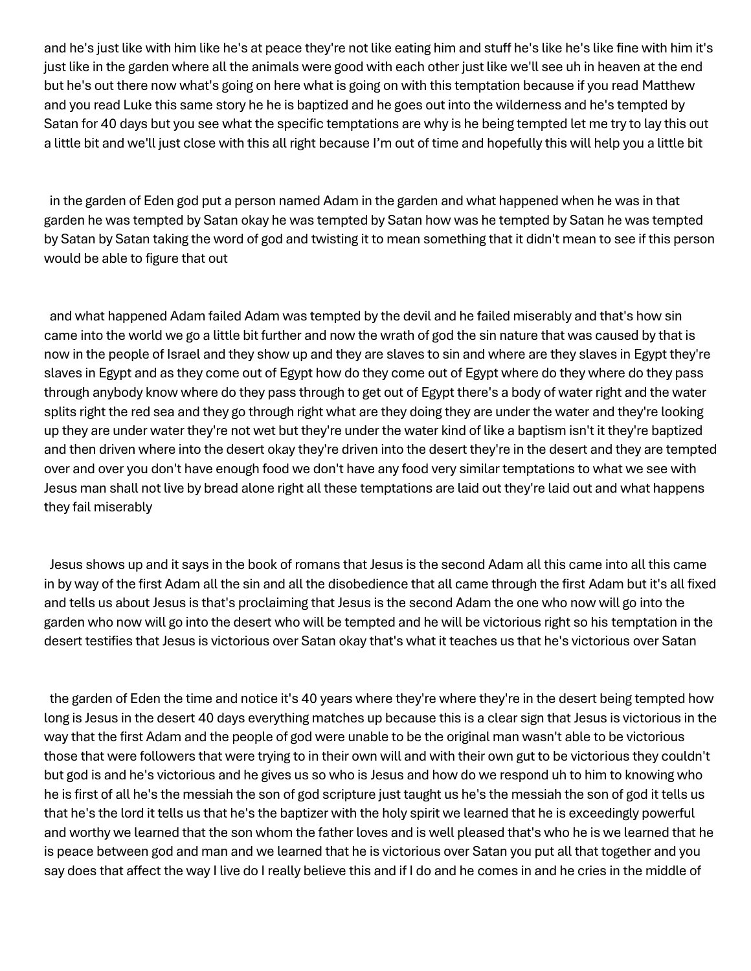and he's just like with him like he's at peace they're not like eating him and stuff he's like he's like fine with him it's just like in the garden where all the animals were good with each other just like we'll see uh in heaven at the end but he's out there now what's going on here what is going on with this temptation because if you read Matthew and you read Luke this same story he he is baptized and he goes out into the wilderness and he's tempted by Satan for 40 days but you see what the specific temptations are why is he being tempted let me try to lay this out a little bit and we'll just close with this all right because I'm out of time and hopefully this will help you a little bit

in the garden of Eden god put a person named Adam in the garden and what happened when he was in that garden he was tempted by Satan okay he was tempted by Satan how was he tempted by Satan he was tempted by Satan by Satan taking the word of god and twisting it to mean something that it didn't mean to see if this person would be able to figure that out

and what happened Adam failed Adam was tempted by the devil and he failed miserably and that's how sin came into the world we go a little bit further and now the wrath of god the sin nature that was caused by that is now in the people of Israel and they show up and they are slaves to sin and where are they slaves in Egypt they're slaves in Egypt and as they come out of Egypt how do they come out of Egypt where do they where do they pass through anybody know where do they pass through to get out of Egypt there's a body of water right and the water splits right the red sea and they go through right what are they doing they are under the water and they're looking up they are under water they're not wet but they're under the water kind of like a baptism isn't it they're baptized and then driven where into the desert okay they're driven into the desert they're in the desert and they are tempted over and over you don't have enough food we don't have any food very similar temptations to what we see with Jesus man shall not live by bread alone right all these temptations are laid out they're laid out and what happens they fail miserably

Jesus shows up and it says in the book of romans that Jesus is the second Adam all this came into all this came in by way of the first Adam all the sin and all the disobedience that all came through the first Adam but it's all fixed and tells us about Jesus is that's proclaiming that Jesus is the second Adam the one who now will go into the garden who now will go into the desert who will be tempted and he will be victorious right so his temptation in the desert testifies that Jesus is victorious over Satan okay that's what it teaches us that he's victorious over Satan

the garden of Eden the time and notice it's 40 years where they're where they're in the desert being tempted how long is Jesus in the desert 40 days everything matches up because this is a clear sign that Jesus is victorious in the way that the first Adam and the people of god were unable to be the original man wasn't able to be victorious those that were followers that were trying to in their own will and with their own gut to be victorious they couldn't but god is and he's victorious and he gives us so who is Jesus and how do we respond uh to him to knowing who he is first of all he's the messiah the son of god scripture just taught us he's the messiah the son of god it tells us that he's the lord it tells us that he's the baptizer with the holy spirit we learned that he is exceedingly powerful and worthy we learned that the son whom the father loves and is well pleased that's who he is we learned that he is peace between god and man and we learned that he is victorious over Satan you put all that together and you say does that affect the way I live do I really believe this and if I do and he comes in and he cries in the middle of